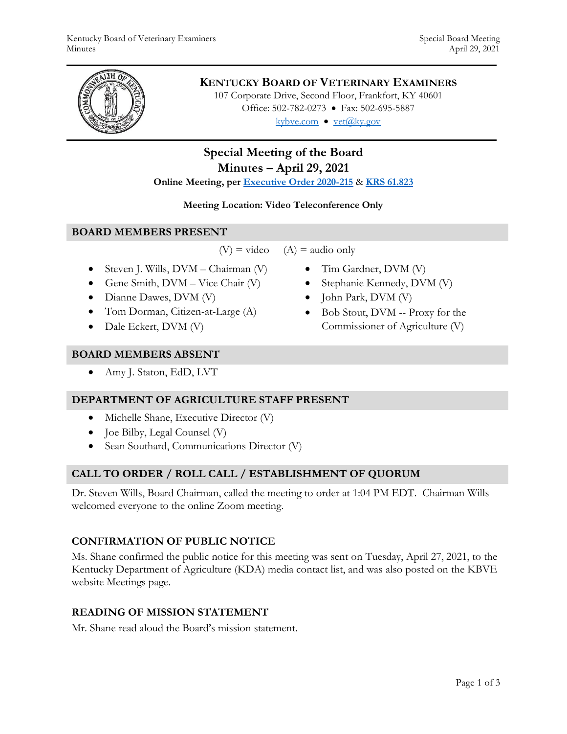

### **KENTUCKY BOARD OF VETERINARY EXAMINERS**

107 Corporate Drive, Second Floor, Frankfort, KY 40601 Office: 502-782-0273 • Fax: 502-695-5887 kybve.com  $\bullet$  vet $(\widehat{a}$ ky.gov

# **Special Meeting of the Board Minutes – April 29, 2021**

#### **Online Meeting, per [Executive Order 2020-215](https://governor.ky.gov/attachments/20200306_Executive-Order_2020-215.pdf)** & **[KRS 61.823](https://apps.legislature.ky.gov/law/statutes/statute.aspx?id=23047)**

#### **Meeting Location: Video Teleconference Only**

#### **BOARD MEMBERS PRESENT**

 $(V)$  = video  $(A)$  = audio only

- Steven J. Wills,  $DVM Chairman (V)$
- Gene Smith,  $DVM Vice$  Chair  $(V)$
- Dianne Dawes, DVM (V)
- Tom Dorman, Citizen-at-Large (A)
- Dale Eckert, DVM (V)
- **BOARD MEMBERS ABSENT**
	- Amy J. Staton, EdD, LVT

#### **DEPARTMENT OF AGRICULTURE STAFF PRESENT**

- Michelle Shane, Executive Director (V)
- Joe Bilby, Legal Counsel (V)
- Sean Southard, Communications Director (V)

### **CALL TO ORDER / ROLL CALL / ESTABLISHMENT OF QUORUM**

Dr. Steven Wills, Board Chairman, called the meeting to order at 1:04 PM EDT. Chairman Wills welcomed everyone to the online Zoom meeting.

### **CONFIRMATION OF PUBLIC NOTICE**

Ms. Shane confirmed the public notice for this meeting was sent on Tuesday, April 27, 2021, to the Kentucky Department of Agriculture (KDA) media contact list, and was also posted on the KBVE website Meetings page.

### **READING OF MISSION STATEMENT**

Mr. Shane read aloud the Board's mission statement.

- Tim Gardner, DVM (V)
	- Stephanie Kennedy, DVM (V)
	- $\bullet$  John Park, DVM (V)
	- Bob Stout, DVM -- Proxy for the Commissioner of Agriculture (V)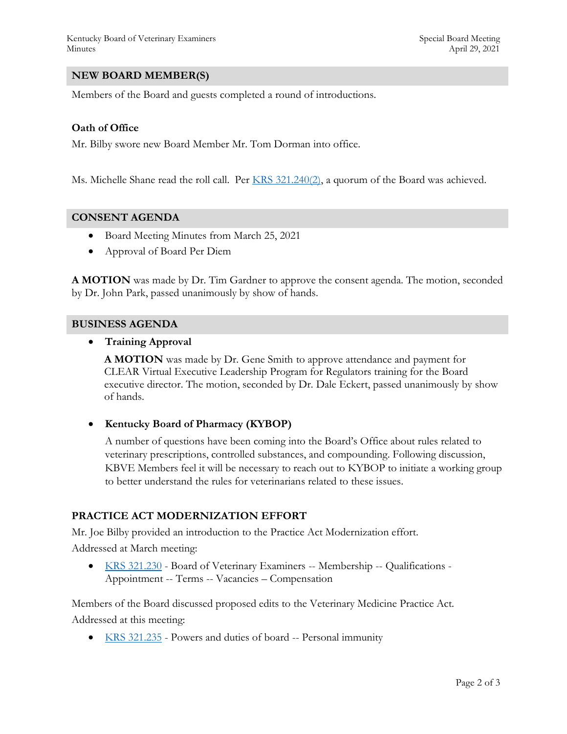#### **NEW BOARD MEMBER(S)**

Members of the Board and guests completed a round of introductions.

#### **Oath of Office**

Mr. Bilby swore new Board Member Mr. Tom Dorman into office.

Ms. Michelle Shane read the roll call. Per  $KRS$  321.240(2), a quorum of the Board was achieved.

#### **CONSENT AGENDA**

- Board Meeting Minutes from March 25, 2021
- Approval of Board Per Diem

**A MOTION** was made by Dr. Tim Gardner to approve the consent agenda. The motion, seconded by Dr. John Park, passed unanimously by show of hands.

#### **BUSINESS AGENDA**

**Training Approval**

**A MOTION** was made by Dr. Gene Smith to approve attendance and payment for CLEAR Virtual Executive Leadership Program for Regulators training for the Board executive director. The motion, seconded by Dr. Dale Eckert, passed unanimously by show of hands.

**Kentucky Board of Pharmacy (KYBOP)**

A number of questions have been coming into the Board's Office about rules related to veterinary prescriptions, controlled substances, and compounding. Following discussion, KBVE Members feel it will be necessary to reach out to KYBOP to initiate a working group to better understand the rules for veterinarians related to these issues.

#### **PRACTICE ACT MODERNIZATION EFFORT**

Mr. Joe Bilby provided an introduction to the Practice Act Modernization effort.

Addressed at March meeting:

 [KRS 321.230](https://apps.legislature.ky.gov/law/statutes/statute.aspx?id=45329) - Board of Veterinary Examiners -- Membership -- Qualifications - Appointment -- Terms -- Vacancies – Compensation

Members of the Board discussed proposed edits to the Veterinary Medicine Practice Act. Addressed at this meeting:

• [KRS 321.235](https://apps.legislature.ky.gov/law/statutes/statute.aspx?id=45330) - Powers and duties of board -- Personal immunity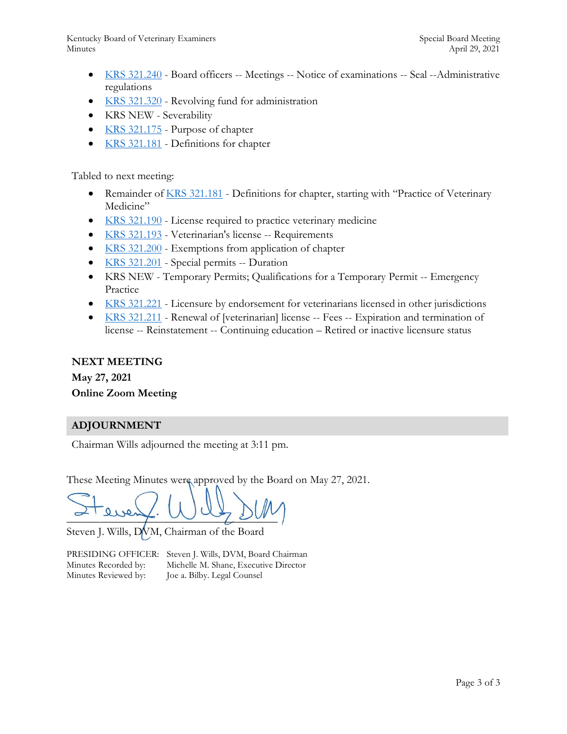- [KRS 321.240](https://apps.legislature.ky.gov/law/statutes/statute.aspx?id=45333) Board officers -- Meetings -- Notice of examinations -- Seal --Administrative regulations
- [KRS 321.320](https://apps.legislature.ky.gov/law/statutes/statute.aspx?id=31399) Revolving fund for administration
- KRS NEW Severability
- [KRS 321.175](https://apps.legislature.ky.gov/law/statutes/statute.aspx?id=45320) Purpose of chapter
- [KRS 321.181](https://apps.legislature.ky.gov/law/statutes/statute.aspx?id=45321) Definitions for chapter

Tabled to next meeting:

- Remainder of [KRS 321.181](https://apps.legislature.ky.gov/law/statutes/statute.aspx?id=45321) Definitions for chapter, starting with "Practice of Veterinary Medicine"
- [KRS 321.190](https://apps.legislature.ky.gov/law/statutes/statute.aspx?id=45323) License required to practice veterinary medicine
- [KRS 321.193](https://apps.legislature.ky.gov/law/statutes/statute.aspx?id=45324) Veterinarian's license -- Requirements
- [KRS 321.200](https://apps.legislature.ky.gov/law/statutes/statute.aspx?id=45325) Exemptions from application of chapter
- [KRS 321.201](https://apps.legislature.ky.gov/law/statutes/statute.aspx?id=45326) Special permits -- Duration
- KRS NEW Temporary Permits; Qualifications for a Temporary Permit -- Emergency Practice
- [KRS 321.221](https://apps.legislature.ky.gov/law/statutes/statute.aspx?id=31387) Licensure by endorsement for veterinarians licensed in other jurisdictions
- [KRS 321.211](https://apps.legislature.ky.gov/law/statutes/statute.aspx?id=45328) Renewal of [veterinarian] license -- Fees -- Expiration and termination of license -- Reinstatement -- Continuing education – Retired or inactive licensure status

#### **NEXT MEETING**

**May 27, 2021 Online Zoom Meeting**

#### **ADJOURNMENT**

Chairman Wills adjourned the meeting at 3:11 pm.

These Meeting Minutes were approved by the Board on May 27, 2021.

 $= 20.44$ 

Steven J. Wills, DVM, Chairman of the Board

PRESIDING OFFICER: Steven J. Wills, DVM, Board Chairman Minutes Recorded by: Michelle M. Shane, Executive Director Minutes Reviewed by: Joe a. Bilby. Legal Counsel